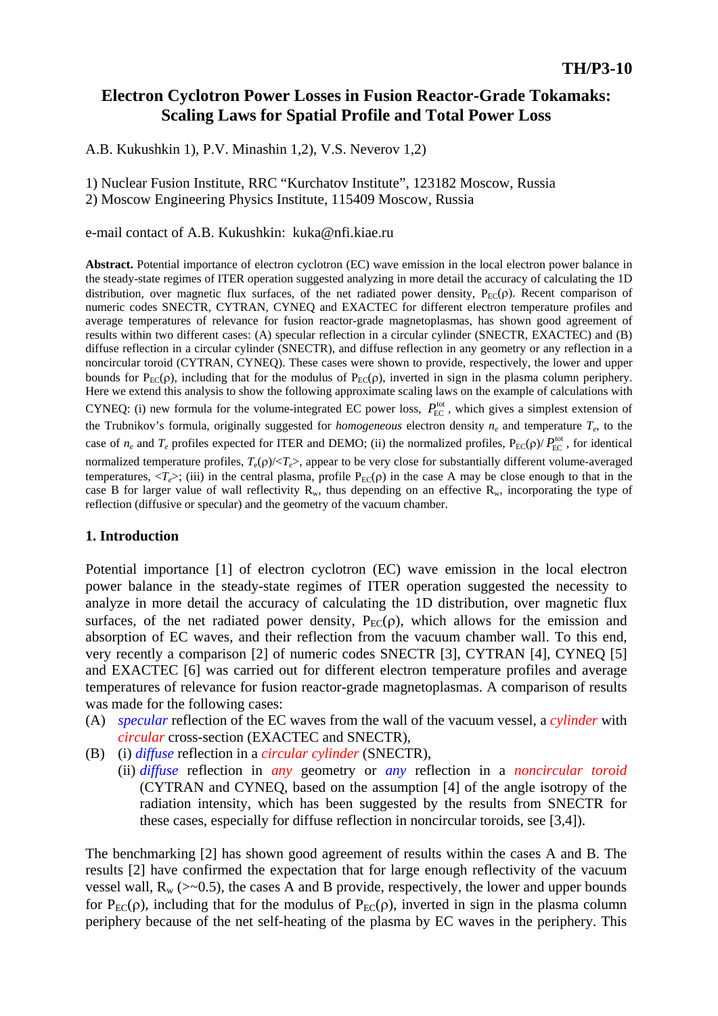# **Electron Cyclotron Power Losses in Fusion Reactor-Grade Tokamaks: Scaling Laws for Spatial Profile and Total Power Loss**

A.B. Kukushkin 1), P.V. Minashin 1,2), V.S. Neverov 1,2)

1) Nuclear Fusion Institute, RRC "Kurchatov Institute", 123182 Moscow, Russia 2) Moscow Engineering Physics Institute, 115409 Moscow, Russia

e-mail contact of A.B. Kukushkin: kuka@nfi.kiae.ru

**Abstract.** Potential importance of electron cyclotron (EC) wave emission in the local electron power balance in the steady-state regimes of ITER operation suggested analyzing in more detail the accuracy of calculating the 1D distribution, over magnetic flux surfaces, of the net radiated power density,  $P_{EC}(\rho)$ . Recent comparison of numeric codes SNECTR, CYTRAN, CYNEQ and EXACTEC for different electron temperature profiles and average temperatures of relevance for fusion reactor-grade magnetoplasmas, has shown good agreement of results within two different cases: (A) specular reflection in a circular cylinder (SNECTR, EXACTEC) and (B) diffuse reflection in a circular cylinder (SNECTR), and diffuse reflection in any geometry or any reflection in a noncircular toroid (CYTRAN, CYNEQ). These cases were shown to provide, respectively, the lower and upper bounds for  $P_{EC}(\rho)$ , including that for the modulus of  $P_{EC}(\rho)$ , inverted in sign in the plasma column periphery. Here we extend this analysis to show the following approximate scaling laws on the example of calculations with CYNEQ: (i) new formula for the volume-integrated EC power loss,  $P_{\text{EC}}^{\text{tot}}$ , which gives a simplest extension of the Trubnikov's formula, originally suggested for *homogeneous* electron density *ne* and temperature *Te*, to the case of  $n_e$  and  $T_e$  profiles expected for ITER and DEMO; (ii) the normalized profiles,  $P_{EC}(\rho)/P_{EC}^{tot}$ , for identical normalized temperature profiles, *T*e(ρ)/<*Te*>, appear to be very close for substantially different volume-averaged temperatures,  $\langle T_e \rangle$ ; (iii) in the central plasma, profile  $P_{EC}(\rho)$  in the case A may be close enough to that in the case B for larger value of wall reflectivity  $R_w$ , thus depending on an effective  $R_w$ , incorporating the type of reflection (diffusive or specular) and the geometry of the vacuum chamber.

## **1. Introduction**

Potential importance [1] of electron cyclotron (EC) wave emission in the local electron power balance in the steady-state regimes of ITER operation suggested the necessity to analyze in more detail the accuracy of calculating the 1D distribution, over magnetic flux surfaces, of the net radiated power density,  $P_{EC}(\rho)$ , which allows for the emission and absorption of EC waves, and their reflection from the vacuum chamber wall. To this end, very recently a comparison [2] of numeric codes SNECTR [3], CYTRAN [4], CYNEQ [5] and EXACTEC [6] was carried out for different electron temperature profiles and average temperatures of relevance for fusion reactor-grade magnetoplasmas. A comparison of results was made for the following cases:

- (A) *specular* reflection of the EC waves from the wall of the vacuum vessel, a *cylinder* with *circular* cross-section (EXACTEC and SNECTR),
- (B) (i) *diffuse* reflection in a *circular cylinder* (SNECTR),
	- (ii) *diffuse* reflection in *any* geometry or *any* reflection in a *noncircular toroid* (CYTRAN and CYNEQ, based on the assumption [4] of the angle isotropy of the radiation intensity, which has been suggested by the results from SNECTR for these cases, especially for diffuse reflection in noncircular toroids, see [3,4]).

The benchmarking [2] has shown good agreement of results within the cases A and B. The results [2] have confirmed the expectation that for large enough reflectivity of the vacuum vessel wall,  $R_w$  (>~0.5), the cases A and B provide, respectively, the lower and upper bounds for  $P_{EC}(\rho)$ , including that for the modulus of  $P_{EC}(\rho)$ , inverted in sign in the plasma column periphery because of the net self-heating of the plasma by EC waves in the periphery. This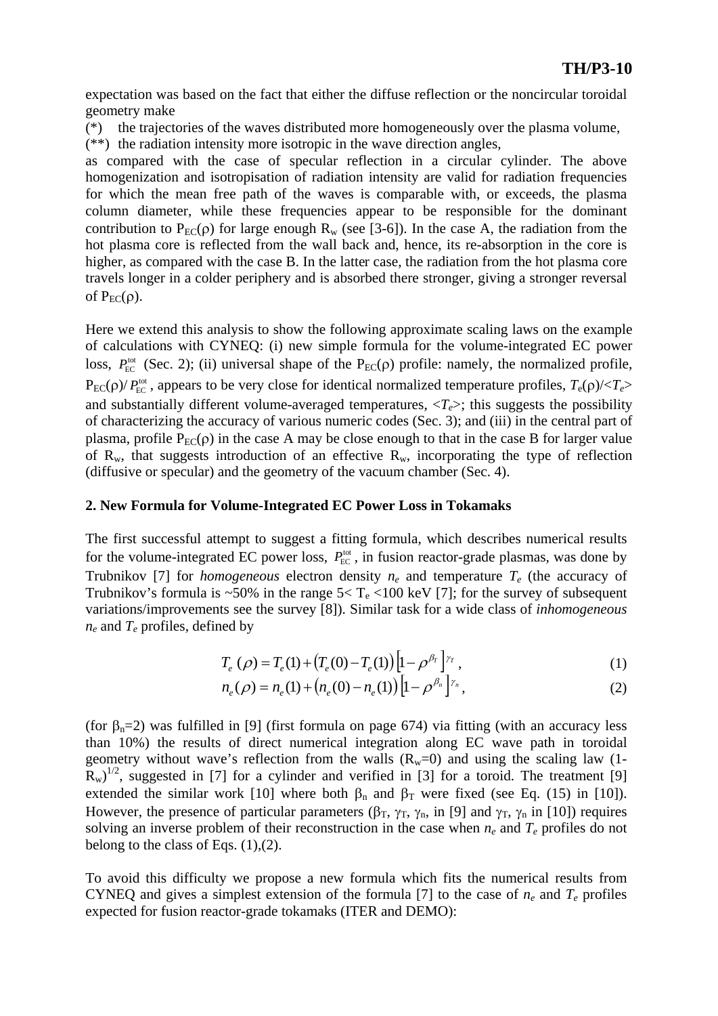expectation was based on the fact that either the diffuse reflection or the noncircular toroidal geometry make

(\*) the trajectories of the waves distributed more homogeneously over the plasma volume,

(\*\*) the radiation intensity more isotropic in the wave direction angles,

as compared with the case of specular reflection in a circular cylinder. The above homogenization and isotropisation of radiation intensity are valid for radiation frequencies for which the mean free path of the waves is comparable with, or exceeds, the plasma column diameter, while these frequencies appear to be responsible for the dominant contribution to  $P_{EC}(\rho)$  for large enough  $R_w$  (see [3-6]). In the case A, the radiation from the hot plasma core is reflected from the wall back and, hence, its re-absorption in the core is higher, as compared with the case B. In the latter case, the radiation from the hot plasma core travels longer in a colder periphery and is absorbed there stronger, giving a stronger reversal of  $P_{EC}(\rho)$ .

Here we extend this analysis to show the following approximate scaling laws on the example of calculations with CYNEQ: (i) new simple formula for the volume-integrated EC power loss,  $P_{EC}^{tot}$  (Sec. 2); (ii) universal shape of the  $P_{EC}(\rho)$  profile: namely, the normalized profile,  $P_{EC}(\rho)/P_{EC}^{\text{tot}}$ , appears to be very close for identical normalized temperature profiles,  $T_e(\rho)/\langle T_e \rangle$ and substantially different volume-averaged temperatures,  $\langle T_e \rangle$ ; this suggests the possibility of characterizing the accuracy of various numeric codes (Sec. 3); and (iii) in the central part of plasma, profile  $P_{EC}(\rho)$  in the case A may be close enough to that in the case B for larger value of  $R_w$ , that suggests introduction of an effective  $R_w$ , incorporating the type of reflection (diffusive or specular) and the geometry of the vacuum chamber (Sec. 4).

### **2. New Formula for Volume-Integrated EC Power Loss in Tokamaks**

The first successful attempt to suggest a fitting formula, which describes numerical results for the volume-integrated EC power loss,  $P_{EC}^{tot}$ , in fusion reactor-grade plasmas, was done by Trubnikov [7] for *homogeneous* electron density  $n_e$  and temperature  $T_e$  (the accuracy of Trubnikov's formula is ~50% in the range  $5 < T_e < 100$  keV [7]; for the survey of subsequent variations/improvements see the survey [8]). Similar task for a wide class of *inhomogeneous ne* and *Te* profiles, defined by

$$
T_e(\rho) = T_e(1) + (T_e(0) - T_e(1)) \left[1 - \rho^{\beta_T}\right]^{\gamma_T},
$$
\n(1)

$$
n_e(\rho) = n_e(1) + (n_e(0) - n_e(1)) \left[ 1 - \rho^{\beta_n} \right]^{r_n},
$$
\n(2)

(for  $\beta_n=2$ ) was fulfilled in [9] (first formula on page 674) via fitting (with an accuracy less than 10%) the results of direct numerical integration along EC wave path in toroidal geometry without wave's reflection from the walls  $(R_w=0)$  and using the scaling law (1- $\overline{R}_w$ <sup>1/2</sup>, suggested in [7] for a cylinder and verified in [3] for a toroid. The treatment [9] extended the similar work [10] where both  $\beta_n$  and  $\beta_T$  were fixed (see Eq. (15) in [10]). However, the presence of particular parameters ( $\beta_T$ ,  $\gamma_T$ ,  $\gamma_n$ , in [9] and  $\gamma_T$ ,  $\gamma_n$  in [10]) requires solving an inverse problem of their reconstruction in the case when  $n_e$  and  $T_e$  profiles do not belong to the class of Eqs.  $(1),(2)$ .

To avoid this difficulty we propose a new formula which fits the numerical results from CYNEQ and gives a simplest extension of the formula [7] to the case of  $n_e$  and  $T_e$  profiles expected for fusion reactor-grade tokamaks (ITER and DEMO):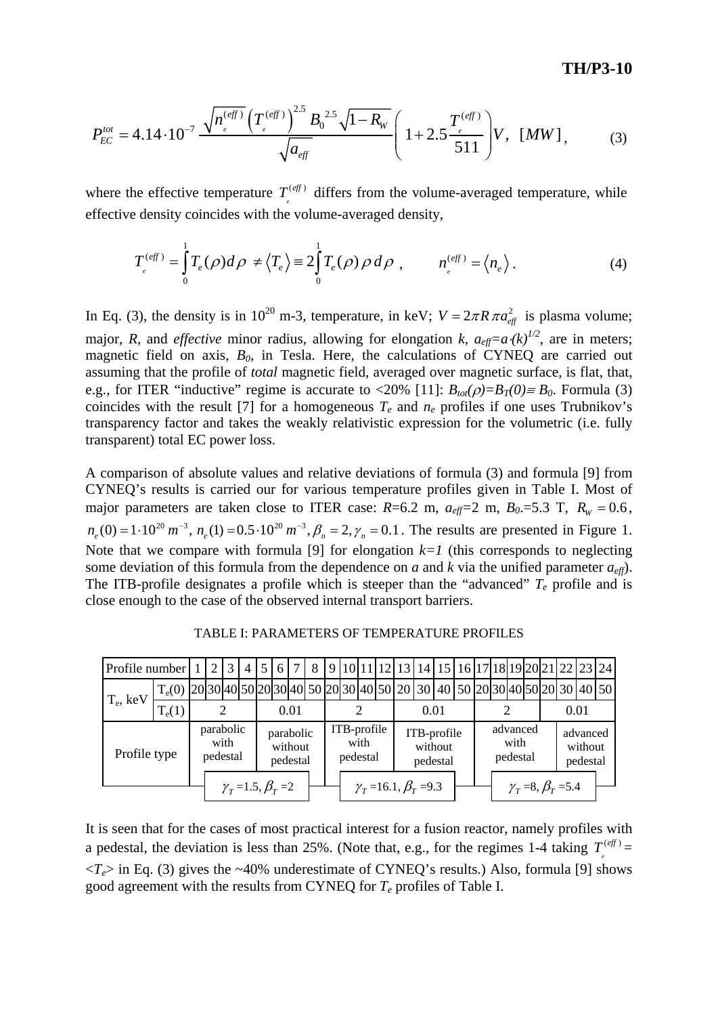$$
P_{EC}^{tot} = 4.14 \cdot 10^{-7} \frac{\sqrt{n_{e}^{(eff)}} \left(T_{e}^{(eff)}\right)^{2.5} B_0^{2.5} \sqrt{1 - R_W}}{\sqrt{a_{eff}}} \left(1 + 2.5 \frac{T_{e}^{(eff)}}{511}\right) V, \quad [MW], \tag{3}
$$

where the effective temperature  $T^{(eff)}$  differs from the volume-averaged temperature, while effective density coincides with the volume-averaged density,  $T_{_e}^{(e\!f\!f}$ 

$$
T_{e}^{(eff)} = \int_{0}^{1} T_{e}(\rho) d\rho \neq \langle T_{e} \rangle \equiv 2 \int_{0}^{1} T_{e}(\rho) \rho d\rho , \qquad n_{e}^{(eff)} = \langle n_{e} \rangle . \tag{4}
$$

In Eq. (3), the density is in 10<sup>20</sup> m-3, temperature, in keV;  $V = 2\pi R \pi a_{eff}^2$  is plasma volume; major, *R*, and *effective* minor radius, allowing for elongation *k*,  $a_{\text{eff}} = a \cdot (k)^{1/2}$ , are in meters; magnetic field on axis,  $B_0$ , in Tesla. Here, the calculations of CYNEQ are carried out assuming that the profile of *total* magnetic field, averaged over magnetic surface, is flat, that, e.g., for ITER "inductive" regime is accurate to <20% [11]:  $B_{tot}(\rho)=B_T(0)=B_0$ . Formula (3) coincides with the result [7] for a homogeneous  $T_e$  and  $n_e$  profiles if one uses Trubnikov's transparency factor and takes the weakly relativistic expression for the volumetric (i.e. fully transparent) total EC power loss.

A comparison of absolute values and relative deviations of formula (3) and formula [9] from CYNEQ's results is carried our for various temperature profiles given in Table I. Most of major parameters are taken close to ITER case:  $R=6.2$  m,  $a_{\text{eff}}=2$  m,  $B_0=5.3$  T,  $R_W=0.6$ ,  $n_e(0) = 1 \cdot 10^{20} \text{ m}^{-3}$ ,  $n_e(1) = 0.5 \cdot 10^{20} \text{ m}^{-3}$ ,  $\beta_n = 2$ ,  $\gamma_n = 0.1$ . The results are presented in Figure 1. Note that we compare with formula [9] for elongation  $k=1$  (this corresponds to neglecting some deviation of this formula from the dependence on *a* and *k* via the unified parameter  $a_{\text{eff}}$ ). The ITB-profile designates a profile which is steeper than the "advanced"  $T_e$  profile and is close enough to the case of the observed internal transport barriers.

| Profile number |                                                                                              |                               | 2 |  | $\overline{4}$ | 5 <sub>1</sub> | 6                                 | $\tau$ | 8 |                                 |  |  |  |                                    | 9 10 11 12 13 14 15 16 17 18 19 20 21 22 23 24 |  |                              |  |                                   |  |  |                                 |  |  |  |
|----------------|----------------------------------------------------------------------------------------------|-------------------------------|---|--|----------------|----------------|-----------------------------------|--------|---|---------------------------------|--|--|--|------------------------------------|------------------------------------------------|--|------------------------------|--|-----------------------------------|--|--|---------------------------------|--|--|--|
| $T_e$ , keV    | $T_e(0)$ [20[30]40]50[20]30]40] 50 [20]30]40]50 [20] 30 [40] 50 [20]30]40]50[20] 30 [40] 50] |                               |   |  |                |                |                                   |        |   |                                 |  |  |  |                                    |                                                |  |                              |  |                                   |  |  |                                 |  |  |  |
|                | $T_e(1)$                                                                                     |                               |   |  |                | 0.01           |                                   |        |   |                                 |  |  |  | 0.01                               |                                                |  |                              |  |                                   |  |  | 0.01                            |  |  |  |
| Profile type   |                                                                                              | parabolic<br>with<br>pedestal |   |  |                |                | parabolic<br>without<br>pedestal  |        |   | ITB-profile<br>with<br>pedestal |  |  |  | ITB-profile<br>without<br>pedestal |                                                |  | advanced<br>with<br>pedestal |  |                                   |  |  | advanced<br>without<br>pedestal |  |  |  |
|                |                                                                                              |                               |   |  |                |                | $\gamma_{T} = 1.5, \beta_{T} = 2$ |        |   |                                 |  |  |  |                                    | $\gamma_{\tau} = 16.1, \beta_{\tau} = 9.3$     |  |                              |  | $\gamma_{T} = 8, \beta_{T} = 5.4$ |  |  |                                 |  |  |  |

TABLE I: PARAMETERS OF TEMPERATURE PROFILES

It is seen that for the cases of most practical interest for a fusion reactor, namely profiles with a pedestal, the deviation is less than 25%. (Note that, e.g., for the regimes 1-4 taking  $T^{(eff)}$  =  $\langle T_e \rangle$  in Eq. (3) gives the ~40% underestimate of CYNEQ's results.) Also, formula [9] shows good agreement with the results from CYNEQ for *Te* profiles of Table I. *e eff*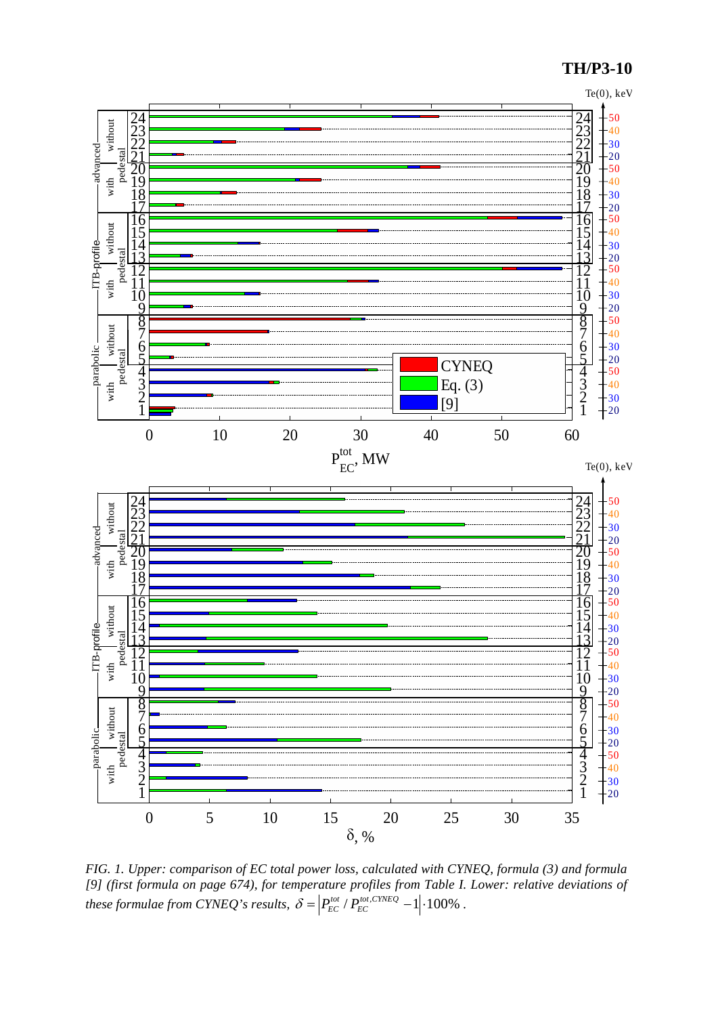## **TH/P3-10**



*FIG. 1. Upper: comparison of EC total power loss, calculated with CYNEQ, formula (3) and formula [9] (first formula on page 674), for temperature profiles from Table I. Lower: relative deviations of these formulae from CYNEQ's results,*  $\delta = |P_{EC}^{tot}/P_{EC}^{tot,CYNEQ} - 1| \cdot 100\%$ .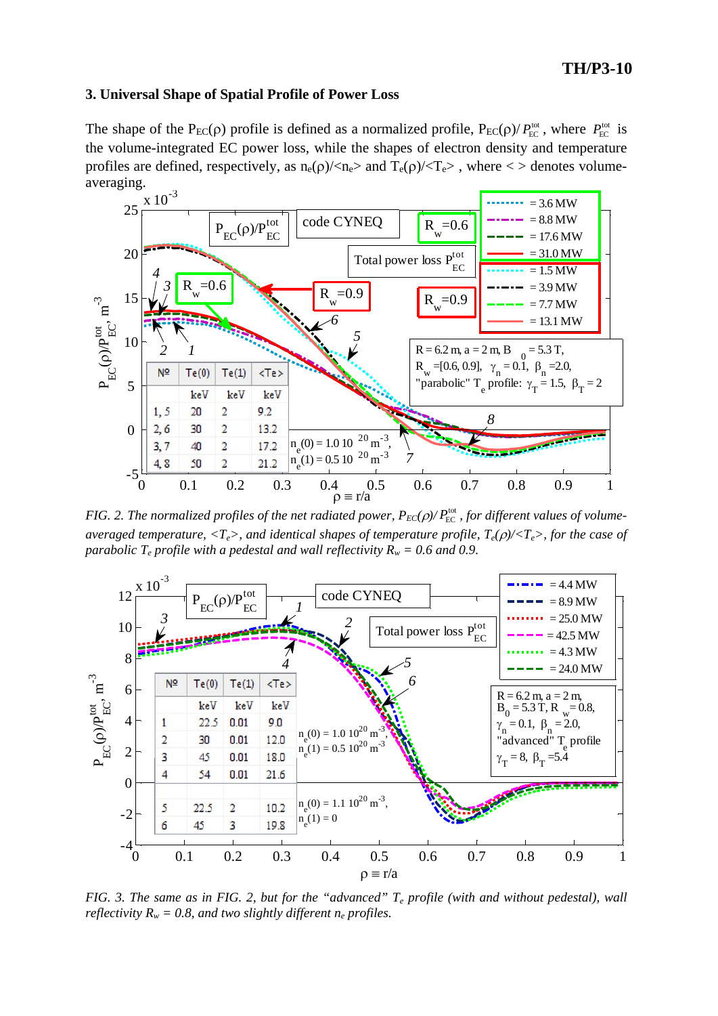# **TH/P3-10**

#### **3. Universal Shape of Spatial Profile of Power Loss**

The shape of the  $P_{EC}(\rho)$  profile is defined as a normalized profile,  $P_{EC}(\rho)/P_{EC}^{tot}$ , where  $P_{EC}^{tot}$  is the volume-integrated EC power loss, while the shapes of electron density and temperature profiles are defined, respectively, as  $n_e(\rho)/\langle n_e \rangle$  and  $T_e(\rho)/\langle T_e \rangle$ , where  $\langle \rangle$  denotes volumeaveraging.



*FIG.* 2. The normalized profiles of the net radiated power,  $P_{EC}(\rho)/P_{EC}^{tot}$ , for different values of volume*averaged temperature,*  $\langle T_e \rangle$ , and identical shapes of temperature profile,  $T_e(\rho)/\langle T_e \rangle$ , for the case of *parabolic T<sub>e</sub> profile with a pedestal and wall reflectivity*  $R_w = 0.6$  *and 0.9.* 



*FIG. 3. The same as in FIG. 2, but for the "advanced" Te profile (with and without pedestal), wall reflectivity*  $R_w = 0.8$ , and two slightly different  $n_e$  profiles.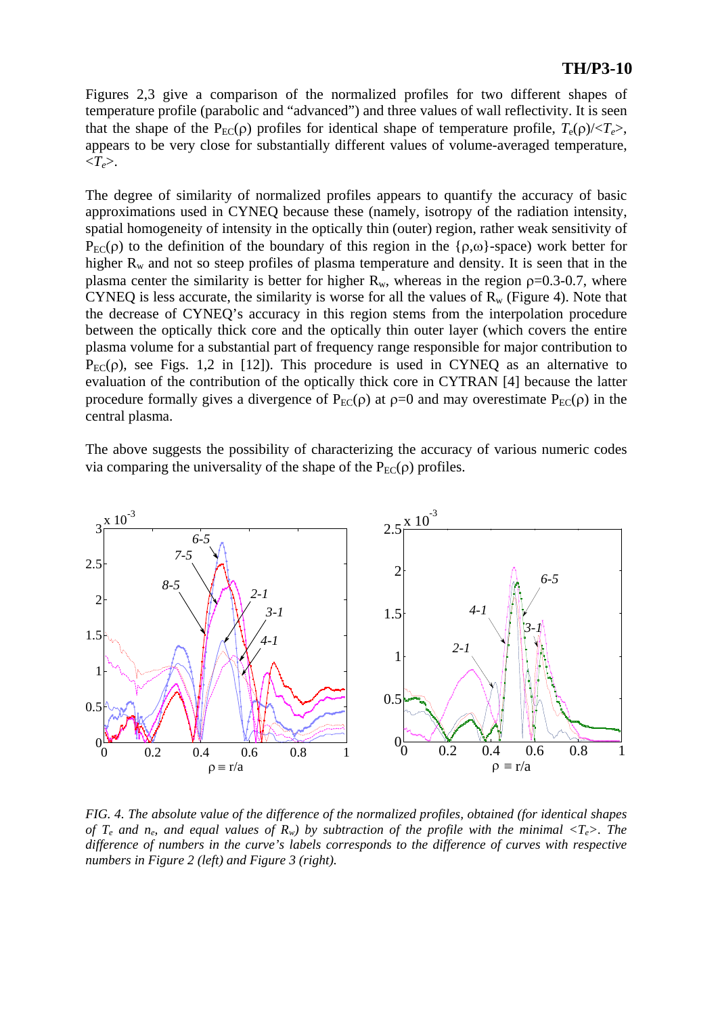## **TH/P3-10**

Figures 2,3 give a comparison of the normalized profiles for two different shapes of temperature profile (parabolic and "advanced") and three values of wall reflectivity. It is seen that the shape of the P<sub>EC</sub>(ρ) profiles for identical shape of temperature profile,  $T_e(\rho)/\langle T_e \rangle$ , appears to be very close for substantially different values of volume-averaged temperature,  $\langle T_e \rangle$ .

The degree of similarity of normalized profiles appears to quantify the accuracy of basic approximations used in CYNEQ because these (namely, isotropy of the radiation intensity, spatial homogeneity of intensity in the optically thin (outer) region, rather weak sensitivity of  $P_{EC}(\rho)$  to the definition of the boundary of this region in the { $\rho,\omega$ }-space) work better for higher  $R_w$  and not so steep profiles of plasma temperature and density. It is seen that in the plasma center the similarity is better for higher  $R_w$ , whereas in the region  $\rho = 0.3-0.7$ , where CYNEQ is less accurate, the similarity is worse for all the values of  $R_w$  (Figure 4). Note that the decrease of CYNEQ's accuracy in this region stems from the interpolation procedure between the optically thick core and the optically thin outer layer (which covers the entire plasma volume for a substantial part of frequency range responsible for major contribution to  $P_{EC}(\rho)$ , see Figs. 1,2 in [12]). This procedure is used in CYNEQ as an alternative to evaluation of the contribution of the optically thick core in CYTRAN [4] because the latter procedure formally gives a divergence of  $P_{EC}(\rho)$  at  $\rho=0$  and may overestimate  $P_{EC}(\rho)$  in the central plasma.

The above suggests the possibility of characterizing the accuracy of various numeric codes via comparing the universality of the shape of the  $P_{EC}(\rho)$  profiles.



*FIG. 4. The absolute value of the difference of the normalized profiles, obtained (for identical shapes of T<sub>e</sub> and n<sub>e</sub>, and equal values of*  $R_w$ *) by subtraction of the profile with the minimal*  $\langle T_e \rangle$ *. The difference of numbers in the curve's labels corresponds to the difference of curves with respective numbers in Figure 2 (left) and Figure 3 (right).*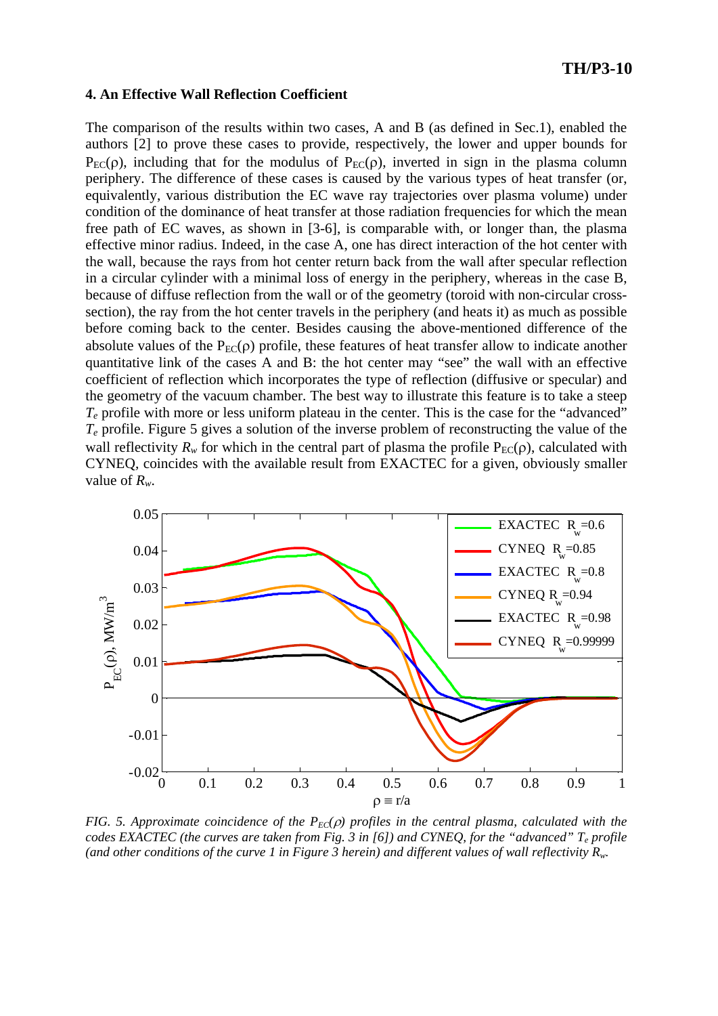#### **4. An Effective Wall Reflection Coefficient**

The comparison of the results within two cases, A and B (as defined in Sec.1), enabled the authors [2] to prove these cases to provide, respectively, the lower and upper bounds for  $P_{EC}(\rho)$ , including that for the modulus of  $P_{EC}(\rho)$ , inverted in sign in the plasma column periphery. The difference of these cases is caused by the various types of heat transfer (or, equivalently, various distribution the EC wave ray trajectories over plasma volume) under condition of the dominance of heat transfer at those radiation frequencies for which the mean free path of EC waves, as shown in [3-6], is comparable with, or longer than, the plasma effective minor radius. Indeed, in the case A, one has direct interaction of the hot center with the wall, because the rays from hot center return back from the wall after specular reflection in a circular cylinder with a minimal loss of energy in the periphery, whereas in the case B, because of diffuse reflection from the wall or of the geometry (toroid with non-circular crosssection), the ray from the hot center travels in the periphery (and heats it) as much as possible before coming back to the center. Besides causing the above-mentioned difference of the absolute values of the  $P_{EC}(\rho)$  profile, these features of heat transfer allow to indicate another quantitative link of the cases A and B: the hot center may "see" the wall with an effective coefficient of reflection which incorporates the type of reflection (diffusive or specular) and the geometry of the vacuum chamber. The best way to illustrate this feature is to take a steep *Te* profile with more or less uniform plateau in the center. This is the case for the "advanced" *Te* profile. Figure 5 gives a solution of the inverse problem of reconstructing the value of the wall reflectivity  $R_w$  for which in the central part of plasma the profile  $P_{EC}(\rho)$ , calculated with CYNEQ, coincides with the available result from EXACTEC for a given, obviously smaller value of *Rw*.



*FIG. 5. Approximate coincidence of the*  $P_{EC}(\rho)$  *profiles in the central plasma, calculated with the codes EXACTEC (the curves are taken from Fig. 3 in [6]) and CYNEQ, for the "advanced" Te profile (and other conditions of the curve 1 in Figure 3 herein) and different values of wall reflectivity Rw.*